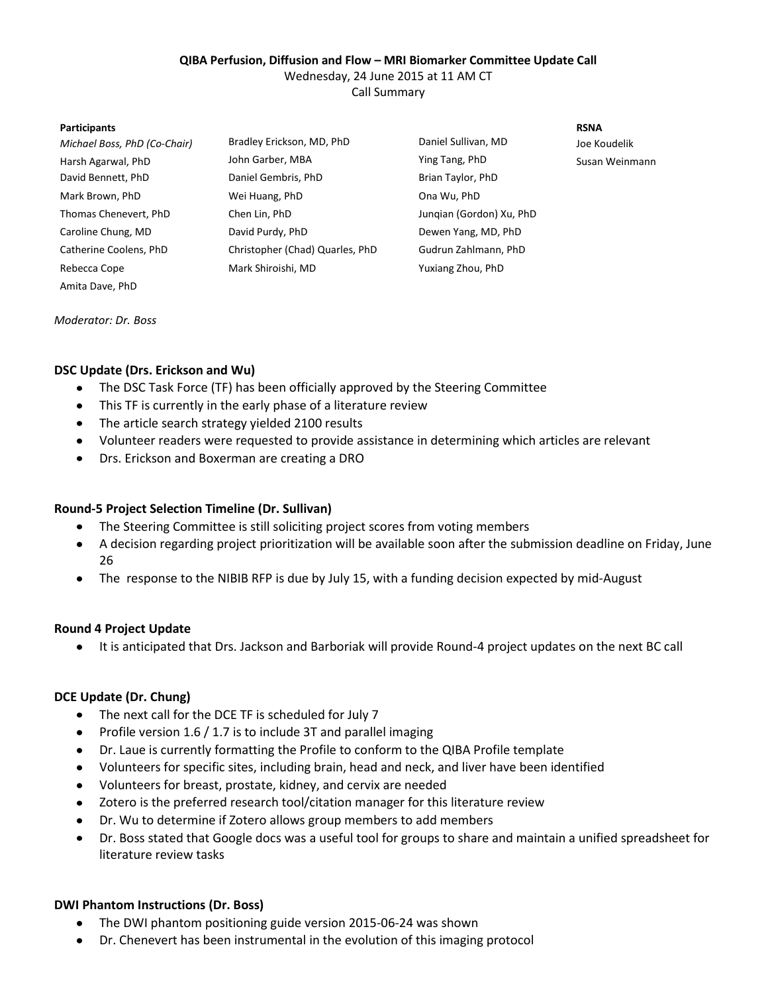## **QIBA Perfusion, Diffusion and Flow – MRI Biomarker Committee Update Call**

Wednesday, 24 June 2015 at 11 AM CT

Call Summary

#### **Participants RSNA**

| Michael Boss, PhD (Co-Chair) | Bradley Erickson, MD, PhD       | Daniel Sullivan, MD      | Joe Koudelik   |
|------------------------------|---------------------------------|--------------------------|----------------|
| Harsh Agarwal, PhD           | John Garber, MBA                | Ying Tang, PhD           | Susan Weinmann |
| David Bennett, PhD           | Daniel Gembris, PhD             | Brian Taylor, PhD        |                |
| Mark Brown, PhD              | Wei Huang, PhD                  | Ona Wu, PhD              |                |
| Thomas Chenevert, PhD        | Chen Lin, PhD                   | Jungian (Gordon) Xu, PhD |                |
| Caroline Chung, MD           | David Purdy, PhD                | Dewen Yang, MD, PhD      |                |
| Catherine Coolens, PhD       | Christopher (Chad) Quarles, PhD | Gudrun Zahlmann, PhD     |                |
| Rebecca Cope                 | Mark Shiroishi, MD              | Yuxiang Zhou, PhD        |                |
| Amita Dave, PhD              |                                 |                          |                |

*Moderator: Dr. Boss*

## **DSC Update (Drs. Erickson and Wu)**

- The DSC Task Force (TF) has been officially approved by the Steering Committee  $\bullet$
- This TF is currently in the early phase of a literature review
- The article search strategy yielded 2100 results
- Volunteer readers were requested to provide assistance in determining which articles are relevant
- Drs. Erickson and Boxerman are creating a DRO

### **Round-5 Project Selection Timeline (Dr. Sullivan)**

- $\bullet$ The Steering Committee is still soliciting project scores from voting members
- A decision regarding project prioritization will be available soon after the submission deadline on Friday, June 26
- The response to the NIBIB RFP is due by July 15, with a funding decision expected by mid-August

### **Round 4 Project Update**

It is anticipated that Drs. Jackson and Barboriak will provide Round-4 project updates on the next BC call

# **DCE Update (Dr. Chung)**

- The next call for the DCE TF is scheduled for July 7
- Profile version 1.6 / 1.7 is to include 3T and parallel imaging
- Dr. Laue is currently formatting the Profile to conform to the QIBA Profile template  $\bullet$
- Volunteers for specific sites, including brain, head and neck, and liver have been identified  $\bullet$
- Volunteers for breast, prostate, kidney, and cervix are needed
- Zotero is the preferred research tool/citation manager for this literature review  $\bullet$
- Dr. Wu to determine if Zotero allows group members to add members  $\bullet$
- Dr. Boss stated that Google docs was a useful tool for groups to share and maintain a unified spreadsheet for  $\bullet$ literature review tasks

### **DWI Phantom Instructions (Dr. Boss)**

- The DWI phantom positioning guide version 2015-06-24 was shown
- Dr. Chenevert has been instrumental in the evolution of this imaging protocol $\bullet$